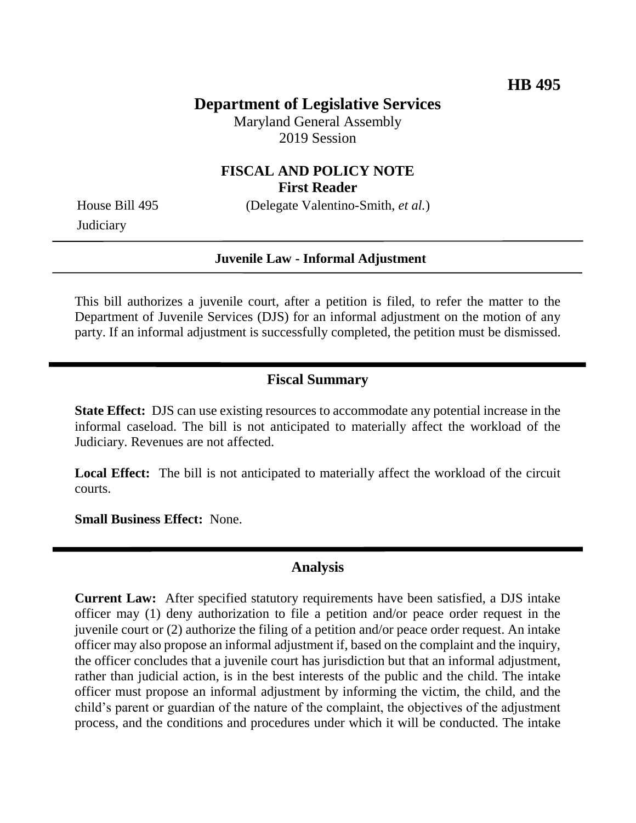# **Department of Legislative Services**

Maryland General Assembly 2019 Session

#### **FISCAL AND POLICY NOTE First Reader**

House Bill 495 (Delegate Valentino-Smith, *et al.*)

**Judiciary** 

#### **Juvenile Law - Informal Adjustment**

This bill authorizes a juvenile court, after a petition is filed, to refer the matter to the Department of Juvenile Services (DJS) for an informal adjustment on the motion of any party. If an informal adjustment is successfully completed, the petition must be dismissed.

#### **Fiscal Summary**

**State Effect:** DJS can use existing resources to accommodate any potential increase in the informal caseload. The bill is not anticipated to materially affect the workload of the Judiciary. Revenues are not affected.

**Local Effect:** The bill is not anticipated to materially affect the workload of the circuit courts.

**Small Business Effect:** None.

### **Analysis**

**Current Law:** After specified statutory requirements have been satisfied, a DJS intake officer may (1) deny authorization to file a petition and/or peace order request in the juvenile court or (2) authorize the filing of a petition and/or peace order request. An intake officer may also propose an informal adjustment if, based on the complaint and the inquiry, the officer concludes that a juvenile court has jurisdiction but that an informal adjustment, rather than judicial action, is in the best interests of the public and the child. The intake officer must propose an informal adjustment by informing the victim, the child, and the child's parent or guardian of the nature of the complaint, the objectives of the adjustment process, and the conditions and procedures under which it will be conducted. The intake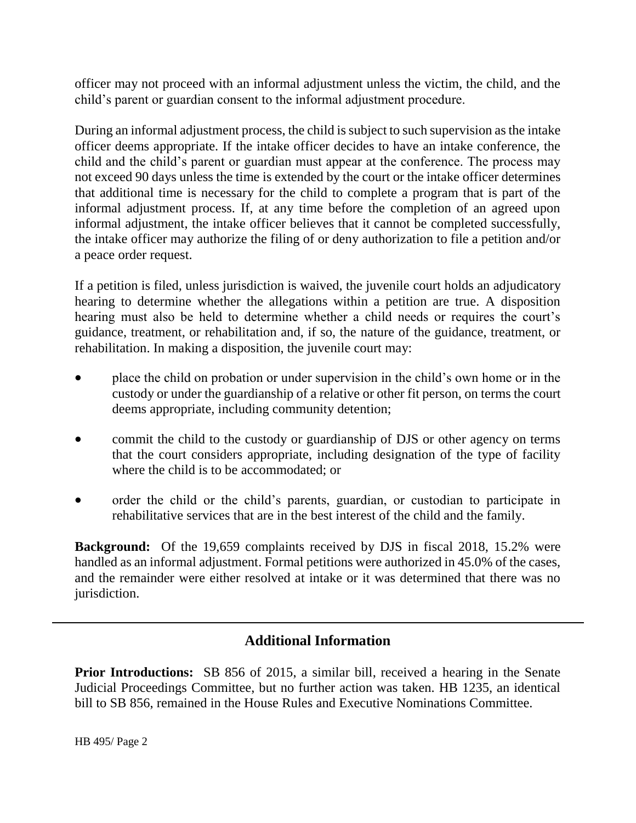officer may not proceed with an informal adjustment unless the victim, the child, and the child's parent or guardian consent to the informal adjustment procedure.

During an informal adjustment process, the child is subject to such supervision as the intake officer deems appropriate. If the intake officer decides to have an intake conference, the child and the child's parent or guardian must appear at the conference. The process may not exceed 90 days unless the time is extended by the court or the intake officer determines that additional time is necessary for the child to complete a program that is part of the informal adjustment process. If, at any time before the completion of an agreed upon informal adjustment, the intake officer believes that it cannot be completed successfully, the intake officer may authorize the filing of or deny authorization to file a petition and/or a peace order request.

If a petition is filed, unless jurisdiction is waived, the juvenile court holds an adjudicatory hearing to determine whether the allegations within a petition are true. A disposition hearing must also be held to determine whether a child needs or requires the court's guidance, treatment, or rehabilitation and, if so, the nature of the guidance, treatment, or rehabilitation. In making a disposition, the juvenile court may:

- place the child on probation or under supervision in the child's own home or in the custody or under the guardianship of a relative or other fit person, on terms the court deems appropriate, including community detention;
- commit the child to the custody or guardianship of DJS or other agency on terms that the court considers appropriate, including designation of the type of facility where the child is to be accommodated; or
- order the child or the child's parents, guardian, or custodian to participate in rehabilitative services that are in the best interest of the child and the family.

**Background:** Of the 19,659 complaints received by DJS in fiscal 2018, 15.2% were handled as an informal adjustment. Formal petitions were authorized in 45.0% of the cases, and the remainder were either resolved at intake or it was determined that there was no jurisdiction.

## **Additional Information**

**Prior Introductions:** SB 856 of 2015, a similar bill, received a hearing in the Senate Judicial Proceedings Committee, but no further action was taken. HB 1235, an identical bill to SB 856, remained in the House Rules and Executive Nominations Committee.